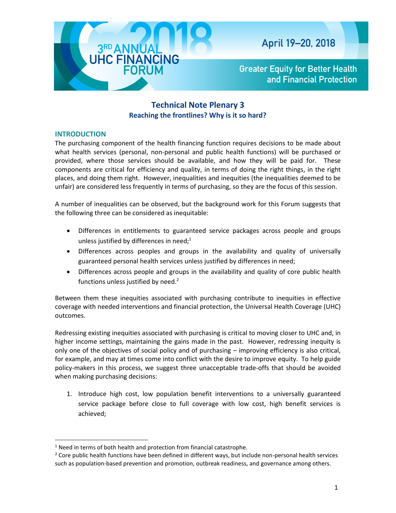

## **Technical Note Plenary 3 Reaching the frontlines? Why is it so hard?**

## **INTRODUCTION**

 $\overline{\phantom{a}}$ 

The purchasing component of the health financing function requires decisions to be made about what health services (personal, non-personal and public health functions) will be purchased or provided, where those services should be available, and how they will be paid for. These components are critical for efficiency and quality, in terms of doing the right things, in the right places, and doing them right. However, inequalities and inequities (the inequalities deemed to be unfair) are considered less frequently in terms of purchasing, so they are the focus of this session.

A number of inequalities can be observed, but the background work for this Forum suggests that the following three can be considered as inequitable:

- Differences in entitlements to guaranteed service packages across people and groups unless justified by differences in need;<sup>1</sup>
- Differences across peoples and groups in the availability and quality of universally guaranteed personal health services unless justified by differences in need;
- Differences across people and groups in the availability and quality of core public health functions unless justified by need.<sup>2</sup>

Between them these inequities associated with purchasing contribute to inequities in effective coverage with needed interventions and financial protection, the Universal Health Coverage (UHC) outcomes.

Redressing existing inequities associated with purchasing is critical to moving closer to UHC and, in higher income settings, maintaining the gains made in the past. However, redressing inequity is only one of the objectives of social policy and of purchasing – improving efficiency is also critical, for example, and may at times come into conflict with the desire to improve equity. To help guide policy-makers in this process, we suggest three unacceptable trade-offs that should be avoided when making purchasing decisions:

1. Introduce high cost, low population benefit interventions to a universally guaranteed service package before close to full coverage with low cost, high benefit services is achieved;

<sup>&</sup>lt;sup>1</sup> Need in terms of both health and protection from financial catastrophe.

<sup>&</sup>lt;sup>2</sup> Core public health functions have been defined in different ways, but include non-personal health services such as population-based prevention and promotion, outbreak readiness, and governance among others.